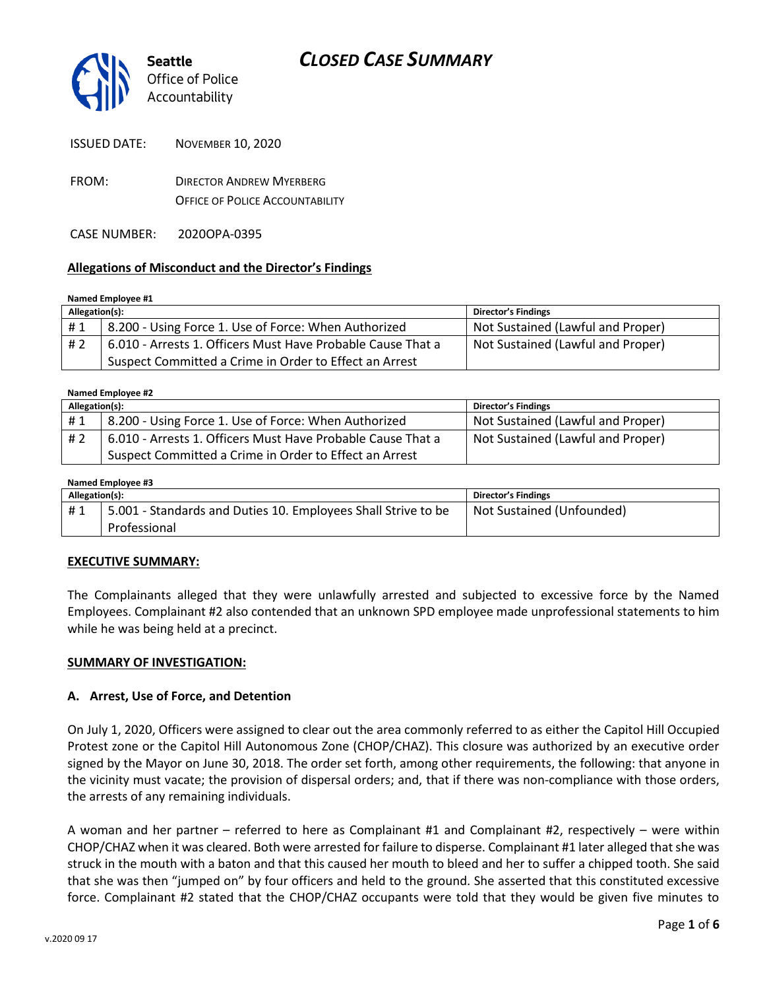

| <b>ISSUED DATE:</b> | <b>NOVEMBER 10, 2020</b> |
|---------------------|--------------------------|
|---------------------|--------------------------|

FROM: DIRECTOR ANDREW MYERBERG OFFICE OF POLICE ACCOUNTABILITY

CASE NUMBER: 2020OPA-0395

### **Allegations of Misconduct and the Director's Findings**

#### **Named Employee #1**

| Allegation(s): |                                                             | Director's Findings               |
|----------------|-------------------------------------------------------------|-----------------------------------|
| #1             | 8.200 - Using Force 1. Use of Force: When Authorized        | Not Sustained (Lawful and Proper) |
| # 2            | 6.010 - Arrests 1. Officers Must Have Probable Cause That a | Not Sustained (Lawful and Proper) |
|                | Suspect Committed a Crime in Order to Effect an Arrest      |                                   |

| Named Employee #2 |                                                             |                                   |  |  |
|-------------------|-------------------------------------------------------------|-----------------------------------|--|--|
| Allegation(s):    |                                                             | Director's Findings               |  |  |
| #1                | 8.200 - Using Force 1. Use of Force: When Authorized        | Not Sustained (Lawful and Proper) |  |  |
| #2                | 6.010 - Arrests 1. Officers Must Have Probable Cause That a | Not Sustained (Lawful and Proper) |  |  |
|                   | Suspect Committed a Crime in Order to Effect an Arrest      |                                   |  |  |

#### **Named Employee #3**

| Allegation(s): |                                                               | <b>Director's Findings</b> |
|----------------|---------------------------------------------------------------|----------------------------|
| #1             | 5.001 - Standards and Duties 10. Employees Shall Strive to be | Not Sustained (Unfounded)  |
|                | Professional                                                  |                            |

#### **EXECUTIVE SUMMARY:**

The Complainants alleged that they were unlawfully arrested and subjected to excessive force by the Named Employees. Complainant #2 also contended that an unknown SPD employee made unprofessional statements to him while he was being held at a precinct.

#### **SUMMARY OF INVESTIGATION:**

#### **A. Arrest, Use of Force, and Detention**

On July 1, 2020, Officers were assigned to clear out the area commonly referred to as either the Capitol Hill Occupied Protest zone or the Capitol Hill Autonomous Zone (CHOP/CHAZ). This closure was authorized by an executive order signed by the Mayor on June 30, 2018. The order set forth, among other requirements, the following: that anyone in the vicinity must vacate; the provision of dispersal orders; and, that if there was non-compliance with those orders, the arrests of any remaining individuals.

A woman and her partner – referred to here as Complainant #1 and Complainant #2, respectively – were within CHOP/CHAZ when it was cleared. Both were arrested for failure to disperse. Complainant #1 later alleged that she was struck in the mouth with a baton and that this caused her mouth to bleed and her to suffer a chipped tooth. She said that she was then "jumped on" by four officers and held to the ground. She asserted that this constituted excessive force. Complainant #2 stated that the CHOP/CHAZ occupants were told that they would be given five minutes to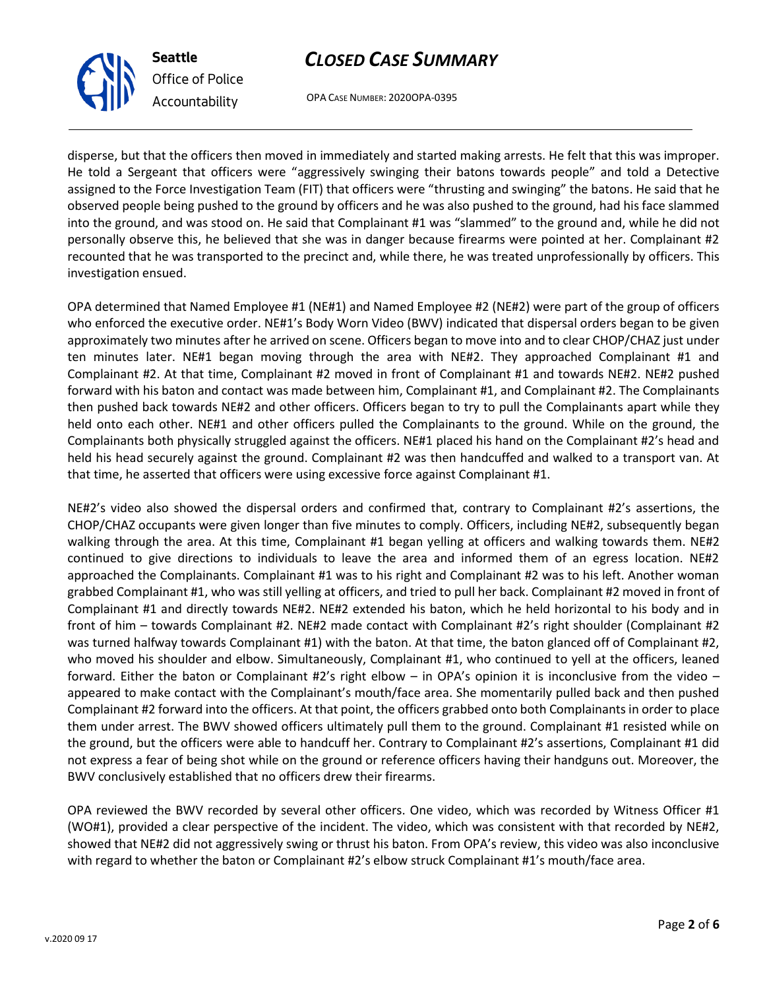OPA CASE NUMBER: 2020OPA-0395

disperse, but that the officers then moved in immediately and started making arrests. He felt that this was improper. He told a Sergeant that officers were "aggressively swinging their batons towards people" and told a Detective assigned to the Force Investigation Team (FIT) that officers were "thrusting and swinging" the batons. He said that he observed people being pushed to the ground by officers and he was also pushed to the ground, had his face slammed into the ground, and was stood on. He said that Complainant #1 was "slammed" to the ground and, while he did not personally observe this, he believed that she was in danger because firearms were pointed at her. Complainant #2 recounted that he was transported to the precinct and, while there, he was treated unprofessionally by officers. This investigation ensued.

OPA determined that Named Employee #1 (NE#1) and Named Employee #2 (NE#2) were part of the group of officers who enforced the executive order. NE#1's Body Worn Video (BWV) indicated that dispersal orders began to be given approximately two minutes after he arrived on scene. Officers began to move into and to clear CHOP/CHAZ just under ten minutes later. NE#1 began moving through the area with NE#2. They approached Complainant #1 and Complainant #2. At that time, Complainant #2 moved in front of Complainant #1 and towards NE#2. NE#2 pushed forward with his baton and contact was made between him, Complainant #1, and Complainant #2. The Complainants then pushed back towards NE#2 and other officers. Officers began to try to pull the Complainants apart while they held onto each other. NE#1 and other officers pulled the Complainants to the ground. While on the ground, the Complainants both physically struggled against the officers. NE#1 placed his hand on the Complainant #2's head and held his head securely against the ground. Complainant #2 was then handcuffed and walked to a transport van. At that time, he asserted that officers were using excessive force against Complainant #1.

NE#2's video also showed the dispersal orders and confirmed that, contrary to Complainant #2's assertions, the CHOP/CHAZ occupants were given longer than five minutes to comply. Officers, including NE#2, subsequently began walking through the area. At this time, Complainant #1 began yelling at officers and walking towards them. NE#2 continued to give directions to individuals to leave the area and informed them of an egress location. NE#2 approached the Complainants. Complainant #1 was to his right and Complainant #2 was to his left. Another woman grabbed Complainant #1, who was still yelling at officers, and tried to pull her back. Complainant #2 moved in front of Complainant #1 and directly towards NE#2. NE#2 extended his baton, which he held horizontal to his body and in front of him – towards Complainant #2. NE#2 made contact with Complainant #2's right shoulder (Complainant #2 was turned halfway towards Complainant #1) with the baton. At that time, the baton glanced off of Complainant #2, who moved his shoulder and elbow. Simultaneously, Complainant #1, who continued to yell at the officers, leaned forward. Either the baton or Complainant #2's right elbow – in OPA's opinion it is inconclusive from the video – appeared to make contact with the Complainant's mouth/face area. She momentarily pulled back and then pushed Complainant #2 forward into the officers. At that point, the officers grabbed onto both Complainants in order to place them under arrest. The BWV showed officers ultimately pull them to the ground. Complainant #1 resisted while on the ground, but the officers were able to handcuff her. Contrary to Complainant #2's assertions, Complainant #1 did not express a fear of being shot while on the ground or reference officers having their handguns out. Moreover, the BWV conclusively established that no officers drew their firearms.

OPA reviewed the BWV recorded by several other officers. One video, which was recorded by Witness Officer #1 (WO#1), provided a clear perspective of the incident. The video, which was consistent with that recorded by NE#2, showed that NE#2 did not aggressively swing or thrust his baton. From OPA's review, this video was also inconclusive with regard to whether the baton or Complainant #2's elbow struck Complainant #1's mouth/face area.



**Seattle**

*Office of Police Accountability*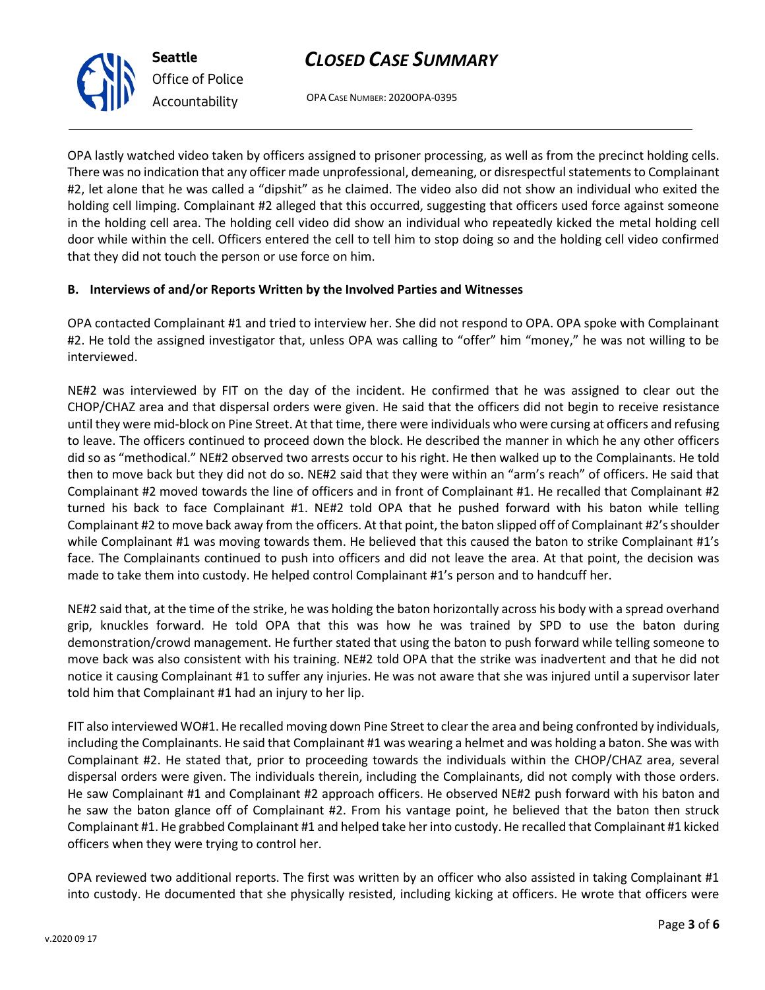OPA CASE NUMBER: 2020OPA-0395

OPA lastly watched video taken by officers assigned to prisoner processing, as well as from the precinct holding cells. There was no indication that any officer made unprofessional, demeaning, or disrespectful statements to Complainant #2, let alone that he was called a "dipshit" as he claimed. The video also did not show an individual who exited the holding cell limping. Complainant #2 alleged that this occurred, suggesting that officers used force against someone in the holding cell area. The holding cell video did show an individual who repeatedly kicked the metal holding cell door while within the cell. Officers entered the cell to tell him to stop doing so and the holding cell video confirmed that they did not touch the person or use force on him.

### **B. Interviews of and/or Reports Written by the Involved Parties and Witnesses**

OPA contacted Complainant #1 and tried to interview her. She did not respond to OPA. OPA spoke with Complainant #2. He told the assigned investigator that, unless OPA was calling to "offer" him "money," he was not willing to be interviewed.

NE#2 was interviewed by FIT on the day of the incident. He confirmed that he was assigned to clear out the CHOP/CHAZ area and that dispersal orders were given. He said that the officers did not begin to receive resistance until they were mid-block on Pine Street. At that time, there were individuals who were cursing at officers and refusing to leave. The officers continued to proceed down the block. He described the manner in which he any other officers did so as "methodical." NE#2 observed two arrests occur to his right. He then walked up to the Complainants. He told then to move back but they did not do so. NE#2 said that they were within an "arm's reach" of officers. He said that Complainant #2 moved towards the line of officers and in front of Complainant #1. He recalled that Complainant #2 turned his back to face Complainant #1. NE#2 told OPA that he pushed forward with his baton while telling Complainant #2 to move back away from the officers. At that point, the baton slipped off of Complainant #2's shoulder while Complainant #1 was moving towards them. He believed that this caused the baton to strike Complainant #1's face. The Complainants continued to push into officers and did not leave the area. At that point, the decision was made to take them into custody. He helped control Complainant #1's person and to handcuff her.

NE#2 said that, at the time of the strike, he was holding the baton horizontally across his body with a spread overhand grip, knuckles forward. He told OPA that this was how he was trained by SPD to use the baton during demonstration/crowd management. He further stated that using the baton to push forward while telling someone to move back was also consistent with his training. NE#2 told OPA that the strike was inadvertent and that he did not notice it causing Complainant #1 to suffer any injuries. He was not aware that she was injured until a supervisor later told him that Complainant #1 had an injury to her lip.

FIT also interviewed WO#1. He recalled moving down Pine Street to clear the area and being confronted by individuals, including the Complainants. He said that Complainant #1 was wearing a helmet and was holding a baton. She was with Complainant #2. He stated that, prior to proceeding towards the individuals within the CHOP/CHAZ area, several dispersal orders were given. The individuals therein, including the Complainants, did not comply with those orders. He saw Complainant #1 and Complainant #2 approach officers. He observed NE#2 push forward with his baton and he saw the baton glance off of Complainant #2. From his vantage point, he believed that the baton then struck Complainant #1. He grabbed Complainant #1 and helped take her into custody. He recalled that Complainant #1 kicked officers when they were trying to control her.

OPA reviewed two additional reports. The first was written by an officer who also assisted in taking Complainant #1 into custody. He documented that she physically resisted, including kicking at officers. He wrote that officers were



**Seattle** *Office of Police Accountability*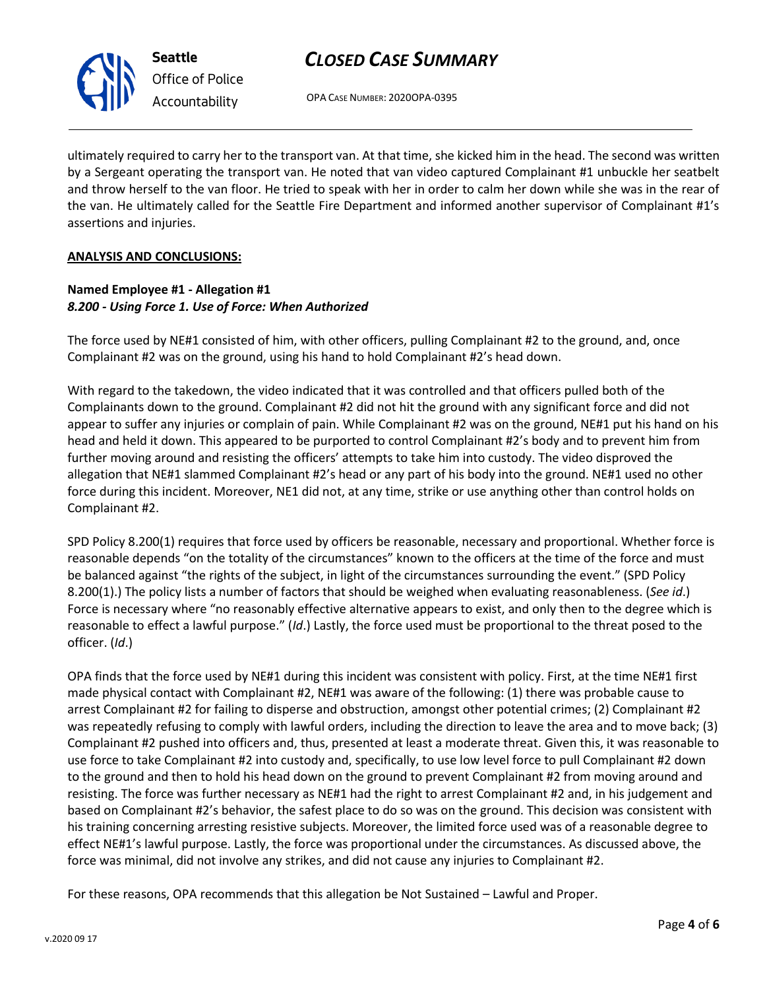

**Seattle** *Office of Police Accountability*

# *CLOSED CASE SUMMARY*

OPA CASE NUMBER: 2020OPA-0395

ultimately required to carry her to the transport van. At that time, she kicked him in the head. The second was written by a Sergeant operating the transport van. He noted that van video captured Complainant #1 unbuckle her seatbelt and throw herself to the van floor. He tried to speak with her in order to calm her down while she was in the rear of the van. He ultimately called for the Seattle Fire Department and informed another supervisor of Complainant #1's assertions and injuries.

## **ANALYSIS AND CONCLUSIONS:**

## **Named Employee #1 - Allegation #1** *8.200 - Using Force 1. Use of Force: When Authorized*

The force used by NE#1 consisted of him, with other officers, pulling Complainant #2 to the ground, and, once Complainant #2 was on the ground, using his hand to hold Complainant #2's head down.

With regard to the takedown, the video indicated that it was controlled and that officers pulled both of the Complainants down to the ground. Complainant #2 did not hit the ground with any significant force and did not appear to suffer any injuries or complain of pain. While Complainant #2 was on the ground, NE#1 put his hand on his head and held it down. This appeared to be purported to control Complainant #2's body and to prevent him from further moving around and resisting the officers' attempts to take him into custody. The video disproved the allegation that NE#1 slammed Complainant #2's head or any part of his body into the ground. NE#1 used no other force during this incident. Moreover, NE1 did not, at any time, strike or use anything other than control holds on Complainant #2.

SPD Policy 8.200(1) requires that force used by officers be reasonable, necessary and proportional. Whether force is reasonable depends "on the totality of the circumstances" known to the officers at the time of the force and must be balanced against "the rights of the subject, in light of the circumstances surrounding the event." (SPD Policy 8.200(1).) The policy lists a number of factors that should be weighed when evaluating reasonableness. (*See id*.) Force is necessary where "no reasonably effective alternative appears to exist, and only then to the degree which is reasonable to effect a lawful purpose." (*Id*.) Lastly, the force used must be proportional to the threat posed to the officer. (*Id*.)

OPA finds that the force used by NE#1 during this incident was consistent with policy. First, at the time NE#1 first made physical contact with Complainant #2, NE#1 was aware of the following: (1) there was probable cause to arrest Complainant #2 for failing to disperse and obstruction, amongst other potential crimes; (2) Complainant #2 was repeatedly refusing to comply with lawful orders, including the direction to leave the area and to move back; (3) Complainant #2 pushed into officers and, thus, presented at least a moderate threat. Given this, it was reasonable to use force to take Complainant #2 into custody and, specifically, to use low level force to pull Complainant #2 down to the ground and then to hold his head down on the ground to prevent Complainant #2 from moving around and resisting. The force was further necessary as NE#1 had the right to arrest Complainant #2 and, in his judgement and based on Complainant #2's behavior, the safest place to do so was on the ground. This decision was consistent with his training concerning arresting resistive subjects. Moreover, the limited force used was of a reasonable degree to effect NE#1's lawful purpose. Lastly, the force was proportional under the circumstances. As discussed above, the force was minimal, did not involve any strikes, and did not cause any injuries to Complainant #2.

For these reasons, OPA recommends that this allegation be Not Sustained – Lawful and Proper.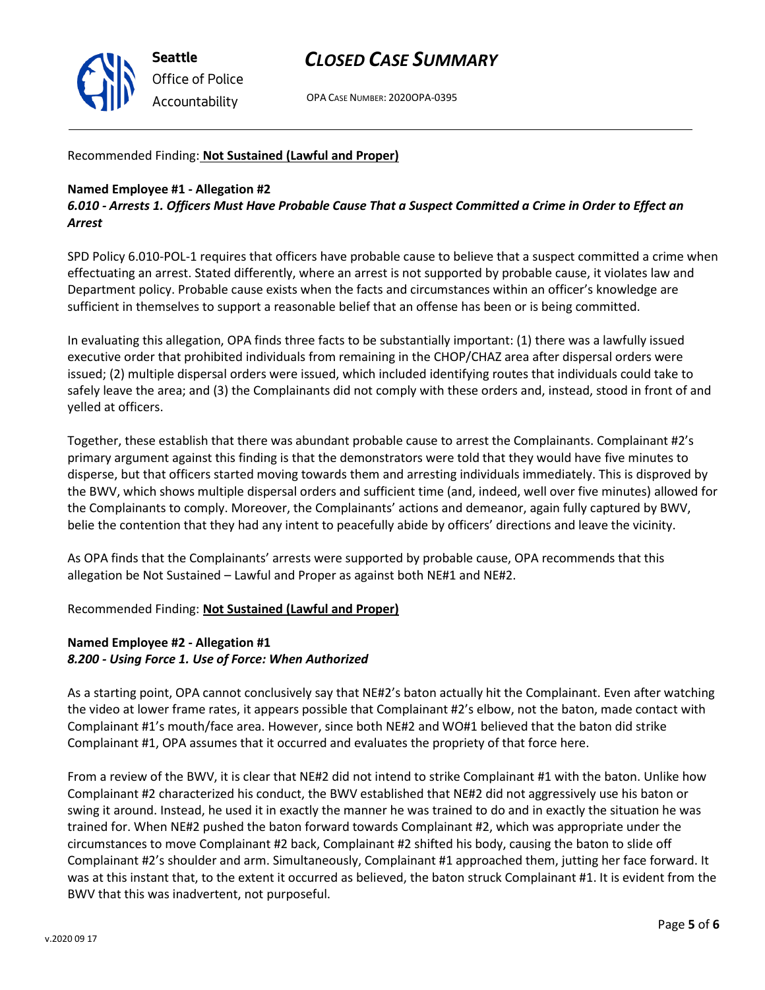

OPA CASE NUMBER: 2020OPA-0395

### Recommended Finding: **Not Sustained (Lawful and Proper)**

### **Named Employee #1 - Allegation #2**

*6.010 - Arrests 1. Officers Must Have Probable Cause That a Suspect Committed a Crime in Order to Effect an Arrest*

SPD Policy 6.010-POL-1 requires that officers have probable cause to believe that a suspect committed a crime when effectuating an arrest. Stated differently, where an arrest is not supported by probable cause, it violates law and Department policy. Probable cause exists when the facts and circumstances within an officer's knowledge are sufficient in themselves to support a reasonable belief that an offense has been or is being committed.

In evaluating this allegation, OPA finds three facts to be substantially important: (1) there was a lawfully issued executive order that prohibited individuals from remaining in the CHOP/CHAZ area after dispersal orders were issued; (2) multiple dispersal orders were issued, which included identifying routes that individuals could take to safely leave the area; and (3) the Complainants did not comply with these orders and, instead, stood in front of and yelled at officers.

Together, these establish that there was abundant probable cause to arrest the Complainants. Complainant #2's primary argument against this finding is that the demonstrators were told that they would have five minutes to disperse, but that officers started moving towards them and arresting individuals immediately. This is disproved by the BWV, which shows multiple dispersal orders and sufficient time (and, indeed, well over five minutes) allowed for the Complainants to comply. Moreover, the Complainants' actions and demeanor, again fully captured by BWV, belie the contention that they had any intent to peacefully abide by officers' directions and leave the vicinity.

As OPA finds that the Complainants' arrests were supported by probable cause, OPA recommends that this allegation be Not Sustained – Lawful and Proper as against both NE#1 and NE#2.

### Recommended Finding: **Not Sustained (Lawful and Proper)**

### **Named Employee #2 - Allegation #1** *8.200 - Using Force 1. Use of Force: When Authorized*

As a starting point, OPA cannot conclusively say that NE#2's baton actually hit the Complainant. Even after watching the video at lower frame rates, it appears possible that Complainant #2's elbow, not the baton, made contact with Complainant #1's mouth/face area. However, since both NE#2 and WO#1 believed that the baton did strike Complainant #1, OPA assumes that it occurred and evaluates the propriety of that force here.

From a review of the BWV, it is clear that NE#2 did not intend to strike Complainant #1 with the baton. Unlike how Complainant #2 characterized his conduct, the BWV established that NE#2 did not aggressively use his baton or swing it around. Instead, he used it in exactly the manner he was trained to do and in exactly the situation he was trained for. When NE#2 pushed the baton forward towards Complainant #2, which was appropriate under the circumstances to move Complainant #2 back, Complainant #2 shifted his body, causing the baton to slide off Complainant #2's shoulder and arm. Simultaneously, Complainant #1 approached them, jutting her face forward. It was at this instant that, to the extent it occurred as believed, the baton struck Complainant #1. It is evident from the BWV that this was inadvertent, not purposeful.